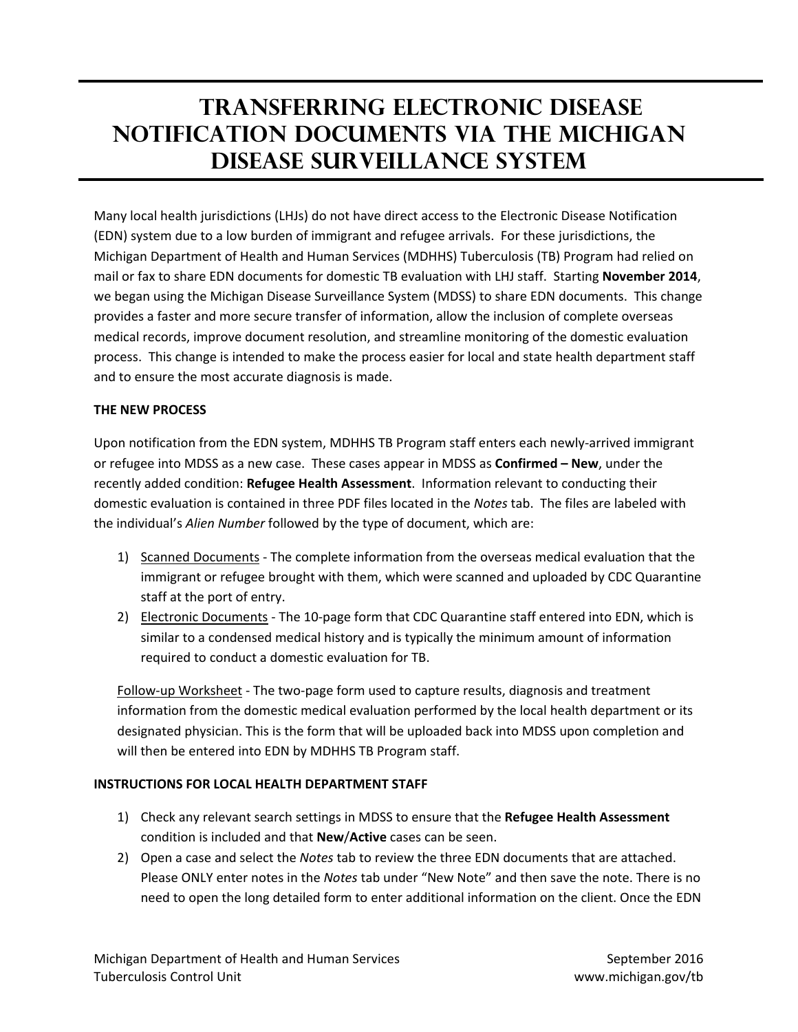## **Transferring electronic disease notification documents via the Michigan disease surveillance system**

Many local health jurisdictions (LHJs) do not have direct access to the Electronic Disease Notification (EDN) system due to a low burden of immigrant and refugee arrivals. For these jurisdictions, the Michigan Department of Health and Human Services (MDHHS) Tuberculosis (TB) Program had relied on mail or fax to share EDN documents for domestic TB evaluation with LHJ staff. Starting **November 2014**, we began using the Michigan Disease Surveillance System (MDSS) to share EDN documents. This change provides a faster and more secure transfer of information, allow the inclusion of complete overseas medical records, improve document resolution, and streamline monitoring of the domestic evaluation process. This change is intended to make the process easier for local and state health department staff and to ensure the most accurate diagnosis is made.

## **THE NEW PROCESS**

Upon notification from the EDN system, MDHHS TB Program staff enters each newly-arrived immigrant or refugee into MDSS as a new case. These cases appear in MDSS as **Confirmed – New**, under the recently added condition: **Refugee Health Assessment**. Information relevant to conducting their domestic evaluation is contained in three PDF files located in the *Notes* tab. The files are labeled with the individual's *Alien Number* followed by the type of document, which are:

- 1) Scanned Documents The complete information from the overseas medical evaluation that the immigrant or refugee brought with them, which were scanned and uploaded by CDC Quarantine staff at the port of entry.
- 2) Electronic Documents The 10-page form that CDC Quarantine staff entered into EDN, which is similar to a condensed medical history and is typically the minimum amount of information required to conduct a domestic evaluation for TB.

Follow-up Worksheet - The two-page form used to capture results, diagnosis and treatment information from the domestic medical evaluation performed by the local health department or its designated physician. This is the form that will be uploaded back into MDSS upon completion and will then be entered into EDN by MDHHS TB Program staff.

## **INSTRUCTIONS FOR LOCAL HEALTH DEPARTMENT STAFF**

- 1) Check any relevant search settings in MDSS to ensure that the **Refugee Health Assessment** condition is included and that **New**/**Active** cases can be seen.
- 2) Open a case and select the *Notes* tab to review the three EDN documents that are attached. Please ONLY enter notes in the *Notes* tab under "New Note" and then save the note. There is no need to open the long detailed form to enter additional information on the client. Once the EDN